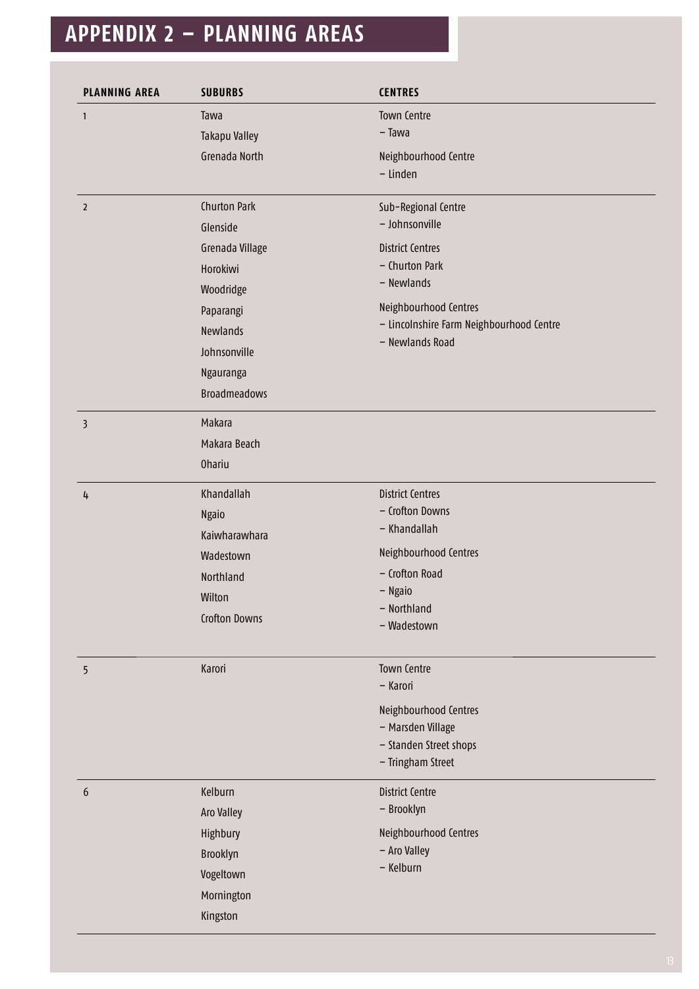## **APPENDIX 2 – PLANNING AREAS**

| <b>PLANNING AREA</b> | <b>SUBURBS</b>      | <b>CENTRES</b>                                                                                                                                  |
|----------------------|---------------------|-------------------------------------------------------------------------------------------------------------------------------------------------|
| $\mathbf{1}$         | Tawa                | Town Centre                                                                                                                                     |
|                      | Takapu Valley       | $-$ Tawa                                                                                                                                        |
|                      | Grenada North       | Neighbourhood Centre                                                                                                                            |
|                      |                     | - Linden                                                                                                                                        |
| $\overline{2}$       | Churton Park        | Sub-Regional Centre                                                                                                                             |
|                      | Glenside            | - Johnsonville                                                                                                                                  |
|                      | Grenada Village     | <b>District Centres</b><br>- Churton Park<br>- Newlands<br>Neighbourhood Centres<br>- Lincolnshire Farm Neighbourhood Centre<br>- Newlands Road |
|                      | Horokiwi            |                                                                                                                                                 |
|                      | Woodridge           |                                                                                                                                                 |
|                      | Paparangi           |                                                                                                                                                 |
|                      | <b>Newlands</b>     |                                                                                                                                                 |
|                      | Johnsonville        |                                                                                                                                                 |
|                      | Ngauranga           |                                                                                                                                                 |
|                      | <b>Broadmeadows</b> |                                                                                                                                                 |
| 3                    | Makara              |                                                                                                                                                 |
|                      | Makara Beach        |                                                                                                                                                 |
|                      | <b>Ohariu</b>       |                                                                                                                                                 |
| 4                    | Khandallah          | <b>District Centres</b>                                                                                                                         |
|                      | Ngaio               | - Crofton Downs                                                                                                                                 |
|                      | Kaiwharawhara       | - Khandallah                                                                                                                                    |
|                      | Wadestown           | Neighbourhood Centres                                                                                                                           |
|                      | Northland           | - Crofton Road                                                                                                                                  |
|                      | Wilton              | - Ngaio                                                                                                                                         |
|                      | Crofton Downs       | - Northland<br>- Wadestown                                                                                                                      |
|                      |                     |                                                                                                                                                 |
| 5                    | Karori              | <b>Town Centre</b>                                                                                                                              |
|                      |                     | - Karori                                                                                                                                        |
|                      |                     | Neighbourhood Centres                                                                                                                           |
|                      |                     | - Marsden Village                                                                                                                               |
|                      |                     | - Standen Street shops                                                                                                                          |
|                      |                     | - Tringham Street                                                                                                                               |
| 6                    | Kelburn             | <b>District Centre</b>                                                                                                                          |
|                      | Aro Valley          | - Brooklyn                                                                                                                                      |
|                      | Highbury            | Neighbourhood Centres                                                                                                                           |
|                      | Brooklyn            | - Aro Valley<br>- Kelburn                                                                                                                       |
|                      | Vogeltown           |                                                                                                                                                 |
|                      | Mornington          |                                                                                                                                                 |
|                      | Kingston            |                                                                                                                                                 |
|                      |                     |                                                                                                                                                 |